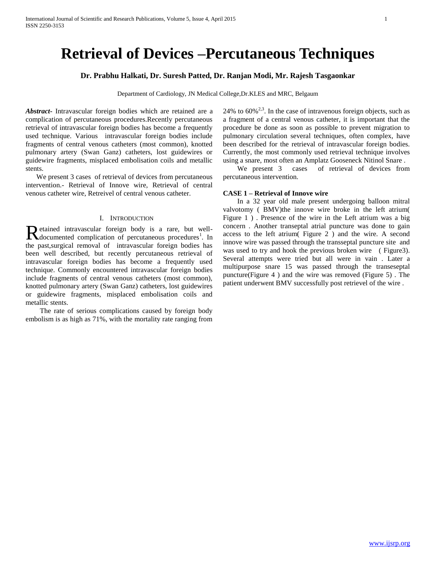# **Retrieval of Devices –Percutaneous Techniques**

# **Dr. Prabhu Halkati, Dr. Suresh Patted, Dr. Ranjan Modi, Mr. Rajesh Tasgaonkar**

Department of Cardiology, JN Medical College,Dr.KLES and MRC, Belgaum

*Abstract***-** Intravascular foreign bodies which are retained are a complication of percutaneous procedures.Recently percutaneous retrieval of intravascular foreign bodies has become a frequently used technique. Various intravascular foreign bodies include fragments of central venous catheters (most common), knotted pulmonary artery (Swan Ganz) catheters, lost guidewires or guidewire fragments, misplaced embolisation coils and metallic stents.

 We present 3 cases of retrieval of devices from percutaneous intervention.- Retrieval of Innove wire, Retrieval of central venous catheter wire, Retreivel of central venous catheter.

# I. INTRODUCTION

etained intravascular foreign body is a rare, but well-Retained intravascular foreign body is a rare, but well-<br>documented complication of percutaneous procedures<sup>1</sup>. In the past,surgical removal of intravascular foreign bodies has been well described, but recently percutaneous retrieval of intravascular foreign bodies has become a frequently used technique. Commonly encountered intravascular foreign bodies include fragments of central venous catheters (most common), knotted pulmonary artery (Swan Ganz) catheters, lost guidewires or guidewire fragments, misplaced embolisation coils and metallic stents.

 The rate of serious complications caused by foreign body embolism is as high as 71%, with the mortality rate ranging from 24% to  $60\%^{2,3}$ . In the case of intravenous foreign objects, such as a fragment of a central venous catheter, it is important that the procedure be done as soon as possible to prevent migration to pulmonary circulation several techniques, often complex, have been described for the retrieval of intravascular foreign bodies. Currently, the most commonly used retrieval technique involves using a snare, most often an Amplatz Gooseneck Nitinol Snare .

 We present 3 cases of retrieval of devices from percutaneous intervention.

#### **CASE 1 – Retrieval of Innove wire**

 In a 32 year old male present undergoing balloon mitral valvotomy ( BMV)the innove wire broke in the left atrium( Figure 1 ) . Presence of the wire in the Left atrium was a big concern . Another transeptal atrial puncture was done to gain access to the left atrium( Figure 2 ) and the wire. A second innove wire was passed through the transseptal puncture site and was used to try and hook the previous broken wire (Figure3). Several attempts were tried but all were in vain . Later a multipurpose snare 15 was passed through the transeseptal puncture(Figure 4 ) and the wire was removed (Figure 5) . The patient underwent BMV successfully post retrievel of the wire .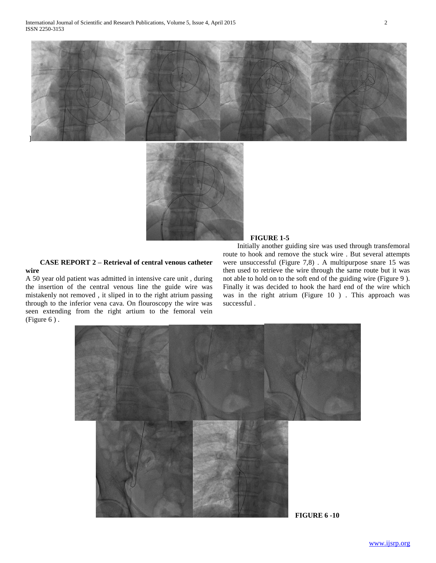



# **CASE REPORT 2 – Retrieval of central venous catheter wire**

A 50 year old patient was admitted in intensive care unit , during the insertion of the central venous line the guide wire was mistakenly not removed , it sliped in to the right atrium passing through to the inferior vena cava. On flouroscopy the wire was seen extending from the right artium to the femoral vein (Figure 6 ) .

## **FIGURE 1-5**

 Initially another guiding sire was used through transfemoral route to hook and remove the stuck wire . But several attempts were unsuccessful (Figure 7,8) . A multipurpose snare 15 was then used to retrieve the wire through the same route but it was not able to hold on to the soft end of the guiding wire (Figure 9 ). Finally it was decided to hook the hard end of the wire which was in the right atrium (Figure 10 ) . This approach was successful .

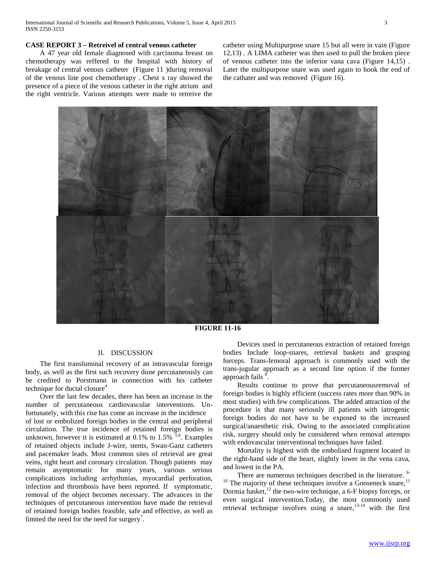# **CASE REPORT 3 – Retreivel of central venous catheter**

 A 47 year old female diagnosed with carcinoma breast on chemotherapy was reffered to the hospital with history of breakage of central venous catheter (Figure 11 )during removal of the venous line post chemotherapy . Chest x ray showed the presence of a piece of the venous catheter in the right atrium and the right ventricle. Various attempts were made to retreive the

catheter using Multipurpose snare 15 but all were in vain (Figure 12,13) . A LIMA catheter was then used to pull the broken piece of venous catheter into the inferior vana cava (Figure 14,15) . Later the multipurpose snare was used again to hook the end of the cathater and was removed (Figure 16).



**FIGURE 11-16**

#### II. DISCUSSION

 The first transluminal recovery of an intravascular foreign body, as well as the first such recovery done percutaneously can be credited to Porstmann in connection with his catheter technique for ductal closure<sup>4</sup>

 Over the last few decades, there has been an increase in the number of percutaneous cardiovascular interventions. Unfortunately, with this rise has come an increase in the incidence of lost or embolized foreign bodies in the central and peripheral circulation. The true incidence of retained foreign bodies is unknown, however it is estimated at  $0.1\%$  to  $1.5\%$ <sup>5,6</sup>. Examples of retained objects include J-wire, stents, Swan-Ganz catheters and pacemaker leads. Most common sites of retrieval are great veins, right heart and coronary circulation. Though patients may remain asymptomatic for many years, various serious complications including arrhythmias, myocardial perforation, infection and thrombosis have been reported. If symptomatic, removal of the object becomes necessary. The advances in the techniques of percutaneous intervention have made the retrieval of retained foreign bodies feasible, safe and effective, as well as limited the need for the need for surgery<sup>7</sup>.

 Devices used in percutaneous extraction of retained foreign bodies Include loop-snares, retrieval baskets and grasping forceps. Trans-femoral approach is commonly used with the trans-jugular approach as a second line option if the former approach fails <sup>8</sup>.

 Results continue to prove that percutaneousremoval of foreign bodies is highly efficient (success rates more than 90% in most studies) with few complications. The added attraction of the procedure is that many seriously ill patients with iatrogenic foreign bodies do not have to be exposed to the increased surgical/anaesthetic risk. Owing to the associated complication risk, surgery should only be considered when removal attempts with endovascular interventional techniques have failed.

 Mortality is highest with the embolised fragment located in the right-hand side of the heart, slightly lower in the vena cava, and lowest in the PA.

There are numerous techniques described in the literature. <sup>9-</sup>  $10$  The majority of these techniques involve a Gooseneck snare,  $11$ Dormia basket, $^{12}$  the two-wire technique, a 6-F biopsy forceps, or even surgical intervention.Today, the most commonly used retrieval technique involves using a snare, $13-14$  with the first